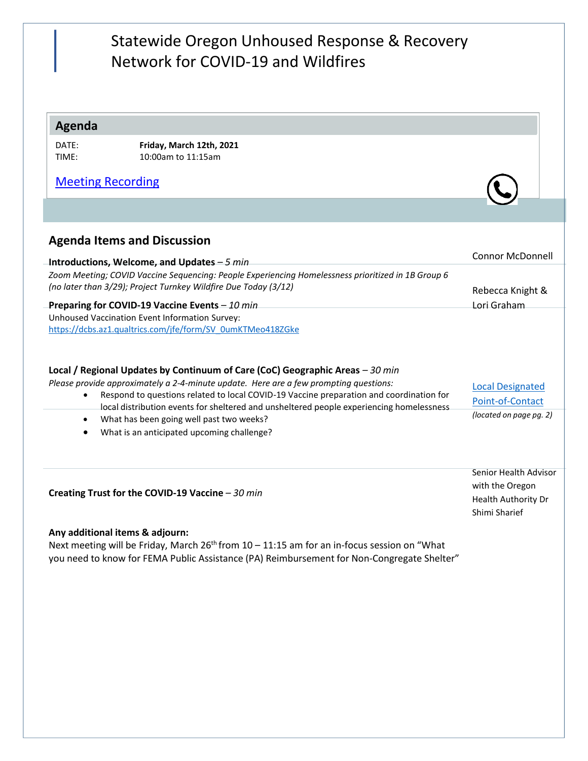## Statewide Oregon Unhoused Response & Recovery Network for COVID-19 and Wildfires

### **Agenda**

| DATE: | Friday, N |
|-------|-----------|
| TIME: | 10:00am   |

DATE: **Friday, March 12th, 2021** 1 to 11:15am

## [Meeting Recording](https://youtu.be/vcV8Y8ikoWs)

## **Agenda Items and Discussion**

| Introductions, Welcome, and Updates - 5 min                                                                                                                           | <b>CONNO MULTONING</b> |
|-----------------------------------------------------------------------------------------------------------------------------------------------------------------------|------------------------|
| Zoom Meeting; COVID Vaccine Sequencing: People Experiencing Homelessness prioritized in 1B Group 6<br>(no later than 3/29); Project Turnkey Wildfire Due Today (3/12) | Rebecca Knight &       |
| Preparing for COVID-19 Vaccine Events - 10 min                                                                                                                        | Lori Graham            |
| Unhoused Vaccination Event Information Survey:<br>https://dcbs.az1.qualtrics.com/jfe/form/SV_0umKTMeo418ZGke                                                          |                        |

#### **Local / Regional Updates by Continuum of Care (CoC) Geographic Areas** *– 30 min*

*Please provide approximately a 2-4-minute update. Here are a few prompting questions:*

- Respond to questions related to local COVID-19 Vaccine preparation and coordination for local distribution events for sheltered and unsheltered people experiencing homelessness [Local Designated](https://www.oregon.gov/ohcs/get-involved/Documents/committees/HTF/Taskforce-Description.pdf) [Point-of-Contact](https://www.oregon.gov/ohcs/get-involved/Documents/committees/HTF/Taskforce-Description.pdf) *(located on page pg. 2)*
- What has been going well past two weeks?
- What is an anticipated upcoming challenge?

**Creating Trust for the COVID-19 Vaccine** *– 30 min*

Senior Health Advisor with the Oregon Health Authority Dr Shimi Sharief

Connor McDonnell

#### **Any additional items & adjourn:**

Next meeting will be Friday, March  $26<sup>th</sup>$  from  $10 - 11:15$  am for an in-focus session on "What you need to know for FEMA Public Assistance (PA) Reimbursement for Non-Congregate Shelter"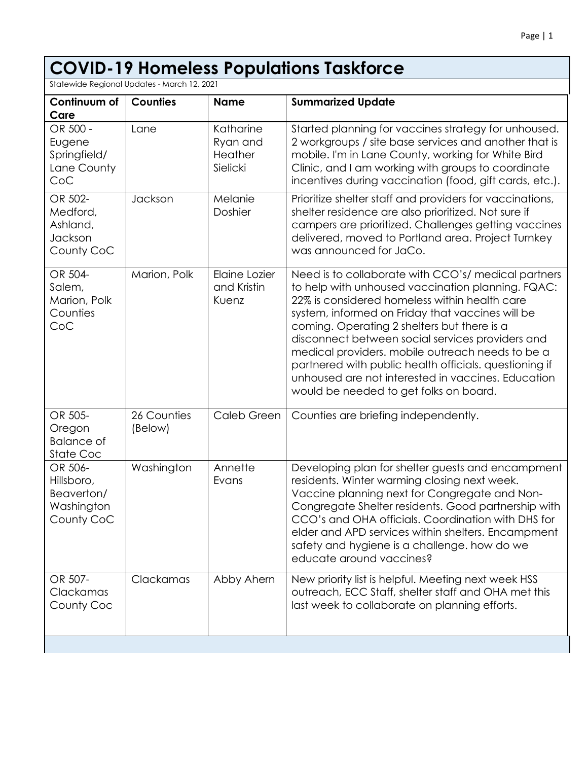# **COVID-19 Homeless Populations Taskforce**

Statewide Regional Updates - March 12, 2021

| Continuum of<br>Care                                            | <b>Counties</b>        | <b>Name</b>                                  | <b>Summarized Update</b>                                                                                                                                                                                                                                                                                                                                                                                                                                                                                                       |
|-----------------------------------------------------------------|------------------------|----------------------------------------------|--------------------------------------------------------------------------------------------------------------------------------------------------------------------------------------------------------------------------------------------------------------------------------------------------------------------------------------------------------------------------------------------------------------------------------------------------------------------------------------------------------------------------------|
| OR 500 -<br>Eugene<br>Springfield/<br>Lane County<br>CoC        | Lane                   | Katharine<br>Ryan and<br>Heather<br>Sielicki | Started planning for vaccines strategy for unhoused.<br>2 workgroups / site base services and another that is<br>mobile. I'm in Lane County, working for White Bird<br>Clinic, and I am working with groups to coordinate<br>incentives during vaccination (food, gift cards, etc.).                                                                                                                                                                                                                                           |
| OR 502-<br>Medford,<br>Ashland,<br>Jackson<br>County CoC        | Jackson                | Melanie<br>Doshier                           | Prioritize shelter staff and providers for vaccinations,<br>shelter residence are also prioritized. Not sure if<br>campers are prioritized. Challenges getting vaccines<br>delivered, moved to Portland area. Project Turnkey<br>was announced for JaCo.                                                                                                                                                                                                                                                                       |
| OR 504-<br>Salem,<br>Marion, Polk<br>Counties<br>CoC            | Marion, Polk           | Elaine Lozier<br>and Kristin<br>Kuenz        | Need is to collaborate with CCO's/ medical partners<br>to help with unhoused vaccination planning. FQAC:<br>22% is considered homeless within health care<br>system, informed on Friday that vaccines will be<br>coming. Operating 2 shelters but there is a<br>disconnect between social services providers and<br>medical providers. mobile outreach needs to be a<br>partnered with public health officials. questioning if<br>unhoused are not interested in vaccines. Education<br>would be needed to get folks on board. |
| OR 505-<br>Oregon<br><b>Balance of</b><br>State Coc             | 26 Counties<br>(Below) | Caleb Green                                  | Counties are briefing independently.                                                                                                                                                                                                                                                                                                                                                                                                                                                                                           |
| OR 506-<br>Hillsboro,<br>Beaverton/<br>Washington<br>County CoC | Washington             | Annette<br>Evans                             | Developing plan for shelter guests and encampment<br>residents. Winter warming closing next week.<br>Vaccine planning next for Congregate and Non-<br>Congregate Shelter residents. Good partnership with<br>CCO's and OHA officials. Coordination with DHS for<br>elder and APD services within shelters. Encampment<br>safety and hygiene is a challenge. how do we<br>educate around vaccines?                                                                                                                              |
| OR 507-<br>Clackamas<br>County Coc                              | Clackamas              | Abby Ahern                                   | New priority list is helpful. Meeting next week HSS<br>outreach, ECC Staff, shelter staff and OHA met this<br>last week to collaborate on planning efforts.                                                                                                                                                                                                                                                                                                                                                                    |
|                                                                 |                        |                                              |                                                                                                                                                                                                                                                                                                                                                                                                                                                                                                                                |